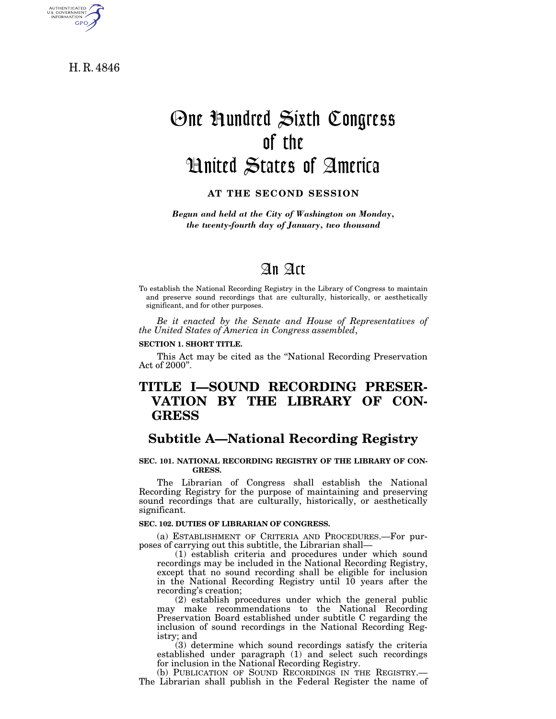H. R. 4846

AUTHENTICATED<br>U.S. GOVERNMENT<br>INFORMATION **GPO** 

# One Hundred Sixth Congress of the United States of America

**AT THE SECOND SESSION**

*Begun and held at the City of Washington on Monday, the twenty-fourth day of January, two thousand*

# An Act

To establish the National Recording Registry in the Library of Congress to maintain and preserve sound recordings that are culturally, historically, or aesthetically significant, and for other purposes.

*Be it enacted by the Senate and House of Representatives of the United States of America in Congress assembled*,

### **SECTION 1. SHORT TITLE.**

This Act may be cited as the ''National Recording Preservation Act of 2000''.

# **TITLE I—SOUND RECORDING PRESER-VATION BY THE LIBRARY OF CON-GRESS**

# **Subtitle A—National Recording Registry**

# **SEC. 101. NATIONAL RECORDING REGISTRY OF THE LIBRARY OF CON-GRESS.**

The Librarian of Congress shall establish the National Recording Registry for the purpose of maintaining and preserving sound recordings that are culturally, historically, or aesthetically significant.

### **SEC. 102. DUTIES OF LIBRARIAN OF CONGRESS.**

(a) ESTABLISHMENT OF CRITERIA AND PROCEDURES.—For purposes of carrying out this subtitle, the Librarian shall—

(1) establish criteria and procedures under which sound recordings may be included in the National Recording Registry, except that no sound recording shall be eligible for inclusion in the National Recording Registry until 10 years after the recording's creation;

(2) establish procedures under which the general public may make recommendations to the National Recording Preservation Board established under subtitle C regarding the inclusion of sound recordings in the National Recording Registry; and

(3) determine which sound recordings satisfy the criteria established under paragraph (1) and select such recordings for inclusion in the National Recording Registry.

(b) PUBLICATION OF SOUND RECORDINGS IN THE REGISTRY.— The Librarian shall publish in the Federal Register the name of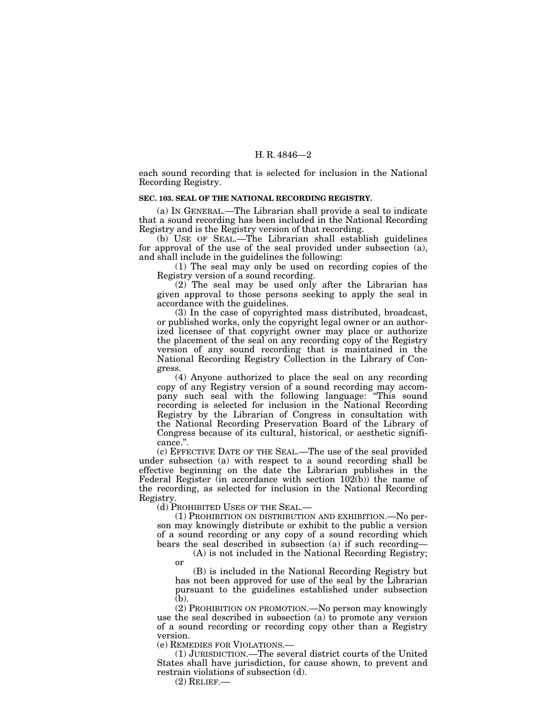each sound recording that is selected for inclusion in the National Recording Registry.

### **SEC. 103. SEAL OF THE NATIONAL RECORDING REGISTRY.**

(a) IN GENERAL.—The Librarian shall provide a seal to indicate that a sound recording has been included in the National Recording Registry and is the Registry version of that recording.

(b) USE OF SEAL.—The Librarian shall establish guidelines for approval of the use of the seal provided under subsection (a), and shall include in the guidelines the following:

(1) The seal may only be used on recording copies of the Registry version of a sound recording.

(2) The seal may be used only after the Librarian has given approval to those persons seeking to apply the seal in accordance with the guidelines.

(3) In the case of copyrighted mass distributed, broadcast, or published works, only the copyright legal owner or an authorized licensee of that copyright owner may place or authorize the placement of the seal on any recording copy of the Registry version of any sound recording that is maintained in the National Recording Registry Collection in the Library of Congress.

(4) Anyone authorized to place the seal on any recording copy of any Registry version of a sound recording may accompany such seal with the following language: "This sound recording is selected for inclusion in the National Recording Registry by the Librarian of Congress in consultation with the National Recording Preservation Board of the Library of Congress because of its cultural, historical, or aesthetic significance.''.

(c) EFFECTIVE DATE OF THE SEAL.—The use of the seal provided under subsection (a) with respect to a sound recording shall be effective beginning on the date the Librarian publishes in the Federal Register (in accordance with section  $102(b)$ ) the name of the recording, as selected for inclusion in the National Recording Registry.

(d) PROHIBITED USES OF THE SEAL.—

(1) PROHIBITION ON DISTRIBUTION AND EXHIBITION.—No person may knowingly distribute or exhibit to the public a version of a sound recording or any copy of a sound recording which bears the seal described in subsection (a) if such recording—

(A) is not included in the National Recording Registry; or

(B) is included in the National Recording Registry but has not been approved for use of the seal by the Librarian pursuant to the guidelines established under subsection  $(b).$ 

(2) PROHIBITION ON PROMOTION.—No person may knowingly use the seal described in subsection (a) to promote any version of a sound recording or recording copy other than a Registry version.

(e) REMEDIES FOR VIOLATIONS.—

(1) JURISDICTION.—The several district courts of the United States shall have jurisdiction, for cause shown, to prevent and restrain violations of subsection (d).

 $(2)$  RELIEF.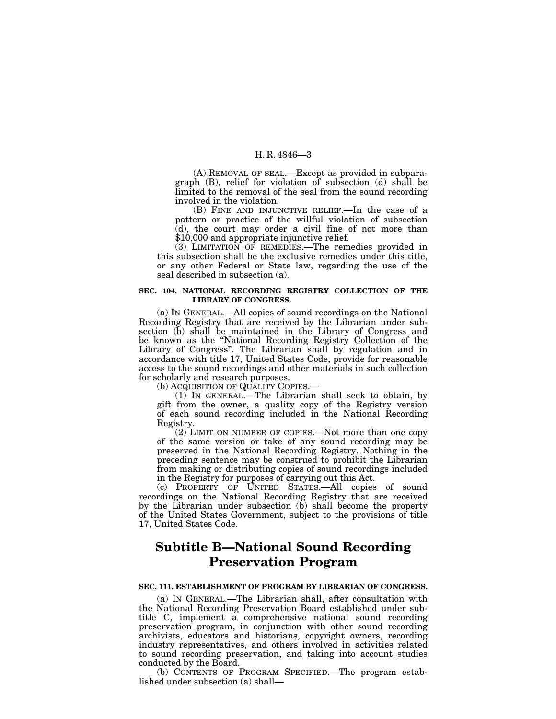(A) REMOVAL OF SEAL.—Except as provided in subparagraph (B), relief for violation of subsection (d) shall be limited to the removal of the seal from the sound recording involved in the violation.

(B) FINE AND INJUNCTIVE RELIEF.—In the case of a pattern or practice of the willful violation of subsection (d), the court may order a civil fine of not more than \$10,000 and appropriate injunctive relief.

(3) LIMITATION OF REMEDIES.—The remedies provided in this subsection shall be the exclusive remedies under this title, or any other Federal or State law, regarding the use of the seal described in subsection (a).

## **SEC. 104. NATIONAL RECORDING REGISTRY COLLECTION OF THE LIBRARY OF CONGRESS.**

(a) IN GENERAL.—All copies of sound recordings on the National Recording Registry that are received by the Librarian under subsection (b) shall be maintained in the Library of Congress and be known as the ''National Recording Registry Collection of the Library of Congress''. The Librarian shall by regulation and in accordance with title 17, United States Code, provide for reasonable access to the sound recordings and other materials in such collection for scholarly and research purposes.

(b) ACQUISITION OF QUALITY COPIES.—

(1) IN GENERAL.—The Librarian shall seek to obtain, by gift from the owner, a quality copy of the Registry version of each sound recording included in the National Recording Registry.

(2) LIMIT ON NUMBER OF COPIES.—Not more than one copy of the same version or take of any sound recording may be preserved in the National Recording Registry. Nothing in the preceding sentence may be construed to prohibit the Librarian from making or distributing copies of sound recordings included in the Registry for purposes of carrying out this Act.

(c) PROPERTY OF UNITED STATES.—All copies of sound recordings on the National Recording Registry that are received by the Librarian under subsection (b) shall become the property of the United States Government, subject to the provisions of title 17, United States Code.

# **Subtitle B—National Sound Recording Preservation Program**

#### **SEC. 111. ESTABLISHMENT OF PROGRAM BY LIBRARIAN OF CONGRESS.**

(a) IN GENERAL.—The Librarian shall, after consultation with the National Recording Preservation Board established under subtitle C, implement a comprehensive national sound recording preservation program, in conjunction with other sound recording archivists, educators and historians, copyright owners, recording industry representatives, and others involved in activities related to sound recording preservation, and taking into account studies conducted by the Board.

(b) CONTENTS OF PROGRAM SPECIFIED.—The program established under subsection (a) shall—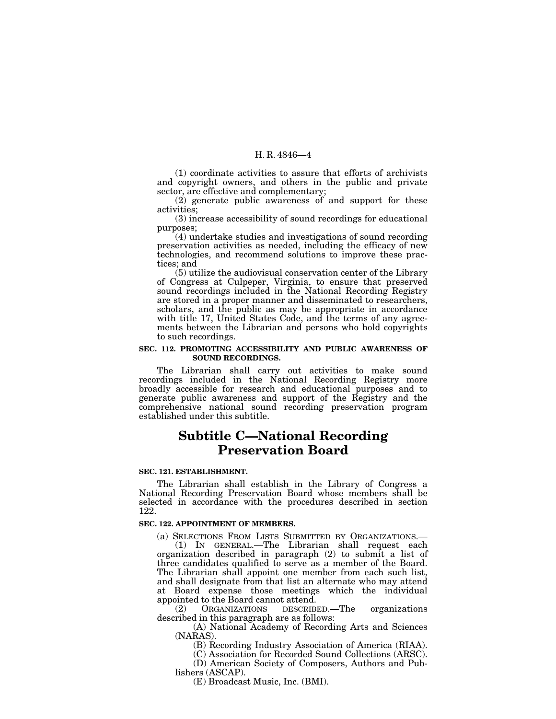(1) coordinate activities to assure that efforts of archivists and copyright owners, and others in the public and private sector, are effective and complementary;

(2) generate public awareness of and support for these activities;

(3) increase accessibility of sound recordings for educational purposes;

(4) undertake studies and investigations of sound recording preservation activities as needed, including the efficacy of new technologies, and recommend solutions to improve these practices; and

(5) utilize the audiovisual conservation center of the Library of Congress at Culpeper, Virginia, to ensure that preserved sound recordings included in the National Recording Registry are stored in a proper manner and disseminated to researchers, scholars, and the public as may be appropriate in accordance with title 17, United States Code, and the terms of any agreements between the Librarian and persons who hold copyrights to such recordings.

#### **SEC. 112. PROMOTING ACCESSIBILITY AND PUBLIC AWARENESS OF SOUND RECORDINGS.**

The Librarian shall carry out activities to make sound recordings included in the National Recording Registry more broadly accessible for research and educational purposes and to generate public awareness and support of the Registry and the comprehensive national sound recording preservation program established under this subtitle.

# **Subtitle C—National Recording Preservation Board**

#### **SEC. 121. ESTABLISHMENT.**

The Librarian shall establish in the Library of Congress a National Recording Preservation Board whose members shall be selected in accordance with the procedures described in section 122.

#### **SEC. 122. APPOINTMENT OF MEMBERS.**

(a) SELECTIONS FROM LISTS SUBMITTED BY ORGANIZATIONS.— (1) IN GENERAL.—The Librarian shall request each organization described in paragraph (2) to submit a list of three candidates qualified to serve as a member of the Board. The Librarian shall appoint one member from each such list, and shall designate from that list an alternate who may attend at Board expense those meetings which the individual appointed to the Board cannot attend.<br>
(2) ORGANIZATIONS DESCRIB

(2) ORGANIZATIONS DESCRIBED.—The organizations described in this paragraph are as follows:

(A) National Academy of Recording Arts and Sciences (NARAS).

(B) Recording Industry Association of America (RIAA).

(C) Association for Recorded Sound Collections (ARSC).

(D) American Society of Composers, Authors and Publishers (ASCAP).

(E) Broadcast Music, Inc. (BMI).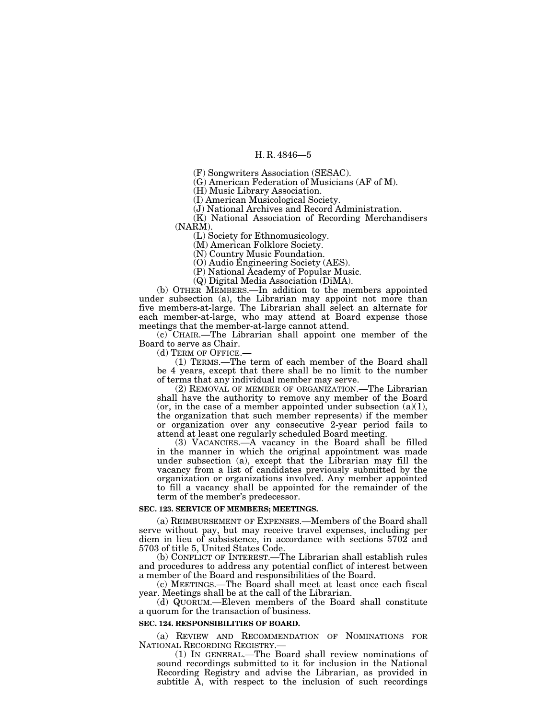(F) Songwriters Association (SESAC).

(G) American Federation of Musicians (AF of M).

(H) Music Library Association.

(I) American Musicological Society.

(J) National Archives and Record Administration.

(K) National Association of Recording Merchandisers (NARM).

(L) Society for Ethnomusicology.

(M) American Folklore Society.

(N) Country Music Foundation.

(O) Audio Engineering Society (AES).

(P) National Academy of Popular Music.

(Q) Digital Media Association (DiMA).

(b) OTHER MEMBERS.—In addition to the members appointed under subsection (a), the Librarian may appoint not more than five members-at-large. The Librarian shall select an alternate for each member-at-large, who may attend at Board expense those meetings that the member-at-large cannot attend.

(c) CHAIR.—The Librarian shall appoint one member of the Board to serve as Chair.<br>(d) TERM OF OFFICE.-

 $(1)$  TERMS.—The term of each member of the Board shall be 4 years, except that there shall be no limit to the number of terms that any individual member may serve.

(2) REMOVAL OF MEMBER OF ORGANIZATION.—The Librarian shall have the authority to remove any member of the Board (or, in the case of a member appointed under subsection  $(a)(1)$ , the organization that such member represents) if the member or organization over any consecutive 2-year period fails to attend at least one regularly scheduled Board meeting.

(3) VACANCIES.—A vacancy in the Board shall be filled in the manner in which the original appointment was made under subsection (a), except that the Librarian may fill the vacancy from a list of candidates previously submitted by the organization or organizations involved. Any member appointed to fill a vacancy shall be appointed for the remainder of the term of the member's predecessor.

#### **SEC. 123. SERVICE OF MEMBERS; MEETINGS.**

(a) REIMBURSEMENT OF EXPENSES.—Members of the Board shall serve without pay, but may receive travel expenses, including per diem in lieu of subsistence, in accordance with sections 5702 and 5703 of title 5, United States Code.

(b) CONFLICT OF INTEREST.—The Librarian shall establish rules and procedures to address any potential conflict of interest between a member of the Board and responsibilities of the Board.

(c) MEETINGS.—The Board shall meet at least once each fiscal year. Meetings shall be at the call of the Librarian.

(d) QUORUM.—Eleven members of the Board shall constitute a quorum for the transaction of business.

#### **SEC. 124. RESPONSIBILITIES OF BOARD.**

(a) REVIEW AND RECOMMENDATION OF NOMINATIONS FOR NATIONAL RECORDING REGISTRY.—

(1) IN GENERAL.—The Board shall review nominations of sound recordings submitted to it for inclusion in the National Recording Registry and advise the Librarian, as provided in subtitle A, with respect to the inclusion of such recordings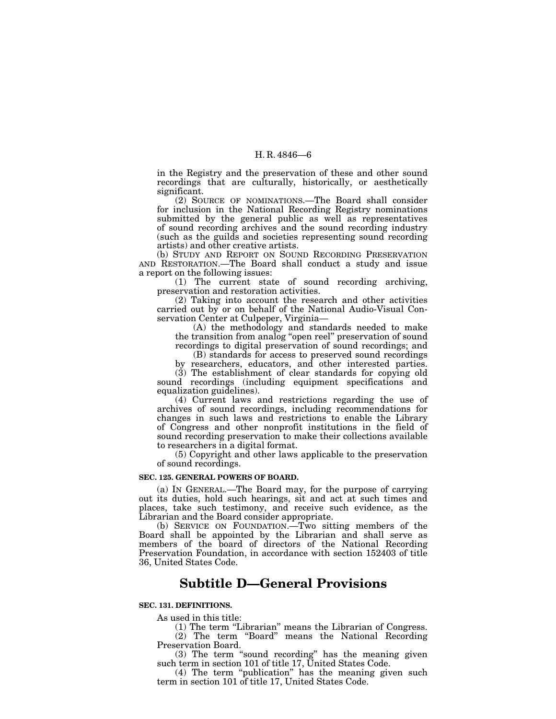in the Registry and the preservation of these and other sound recordings that are culturally, historically, or aesthetically significant.

(2) SOURCE OF NOMINATIONS.—The Board shall consider for inclusion in the National Recording Registry nominations submitted by the general public as well as representatives of sound recording archives and the sound recording industry (such as the guilds and societies representing sound recording artists) and other creative artists.

(b) STUDY AND REPORT ON SOUND RECORDING PRESERVATION AND RESTORATION.—The Board shall conduct a study and issue a report on the following issues:

(1) The current state of sound recording archiving, preservation and restoration activities.

(2) Taking into account the research and other activities carried out by or on behalf of the National Audio-Visual Conservation Center at Culpeper, Virginia—

(A) the methodology and standards needed to make the transition from analog ''open reel'' preservation of sound recordings to digital preservation of sound recordings; and

(B) standards for access to preserved sound recordings

by researchers, educators, and other interested parties. (3) The establishment of clear standards for copying old sound recordings (including equipment specifications and equalization guidelines).

(4) Current laws and restrictions regarding the use of archives of sound recordings, including recommendations for changes in such laws and restrictions to enable the Library of Congress and other nonprofit institutions in the field of sound recording preservation to make their collections available to researchers in a digital format.

(5) Copyright and other laws applicable to the preservation of sound recordings.

#### **SEC. 125. GENERAL POWERS OF BOARD.**

(a) IN GENERAL.—The Board may, for the purpose of carrying out its duties, hold such hearings, sit and act at such times and places, take such testimony, and receive such evidence, as the Librarian and the Board consider appropriate.

(b) SERVICE ON FOUNDATION.—Two sitting members of the Board shall be appointed by the Librarian and shall serve as members of the board of directors of the National Recording Preservation Foundation, in accordance with section 152403 of title 36, United States Code.

# **Subtitle D—General Provisions**

# **SEC. 131. DEFINITIONS.**

As used in this title: (1) The term "Librarian" means the Librarian of Congress.

(2) The term ''Board'' means the National Recording Preservation Board.

(3) The term ''sound recording'' has the meaning given such term in section 101 of title 17, United States Code.

(4) The term ''publication'' has the meaning given such term in section 101 of title 17, United States Code.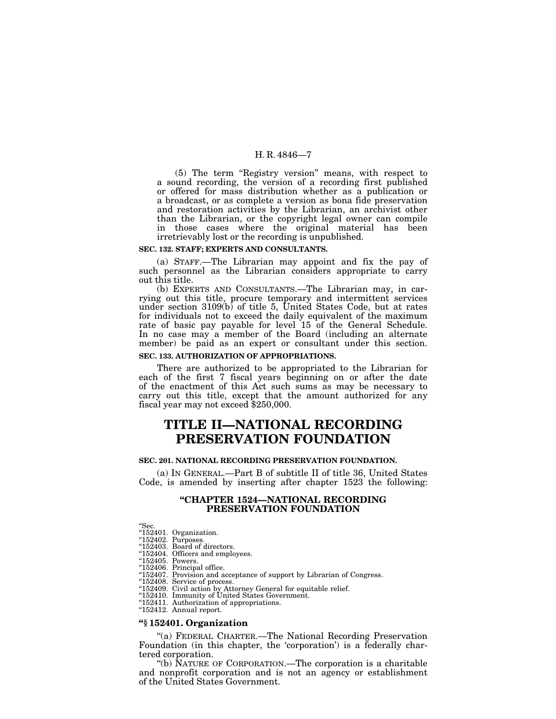(5) The term ''Registry version'' means, with respect to a sound recording, the version of a recording first published or offered for mass distribution whether as a publication or a broadcast, or as complete a version as bona fide preservation and restoration activities by the Librarian, an archivist other than the Librarian, or the copyright legal owner can compile in those cases where the original material has been irretrievably lost or the recording is unpublished.

#### **SEC. 132. STAFF; EXPERTS AND CONSULTANTS.**

(a) STAFF.—The Librarian may appoint and fix the pay of such personnel as the Librarian considers appropriate to carry out this title.

(b) EXPERTS AND CONSULTANTS.—The Librarian may, in carrying out this title, procure temporary and intermittent services under section 3109(b) of title 5, United States Code, but at rates for individuals not to exceed the daily equivalent of the maximum rate of basic pay payable for level 15 of the General Schedule. In no case may a member of the Board (including an alternate member) be paid as an expert or consultant under this section.

#### **SEC. 133. AUTHORIZATION OF APPROPRIATIONS.**

There are authorized to be appropriated to the Librarian for each of the first 7 fiscal years beginning on or after the date of the enactment of this Act such sums as may be necessary to carry out this title, except that the amount authorized for any fiscal year may not exceed \$250,000.

# **TITLE II—NATIONAL RECORDING PRESERVATION FOUNDATION**

#### **SEC. 201. NATIONAL RECORDING PRESERVATION FOUNDATION.**

(a) IN GENERAL.—Part B of subtitle II of title 36, United States Code, is amended by inserting after chapter 1523 the following:

### **''CHAPTER 1524—NATIONAL RECORDING PRESERVATION FOUNDATION**

''Sec.

| "152401. Organization. |
|------------------------|
| "152402. Purposes.     |

- 
- ''152403. Board of directors.
- "152404. Officers and employees.<br>"152405. Powers.
- 
- ''152406. Principal office.
- ''152407. Provision and acceptance of support by Librarian of Congress.
- "152408. Service of process. ''152409. Civil action by Attorney General for equitable relief.
- ''152410. Immunity of United States Government.
- ''152411. Authorization of appropriations. ''152412. Annual report.
- 

#### **''§ 152401. Organization**

''(a) FEDERAL CHARTER.—The National Recording Preservation Foundation (in this chapter, the 'corporation') is a federally chartered corporation.

''(b) NATURE OF CORPORATION.—The corporation is a charitable and nonprofit corporation and is not an agency or establishment of the United States Government.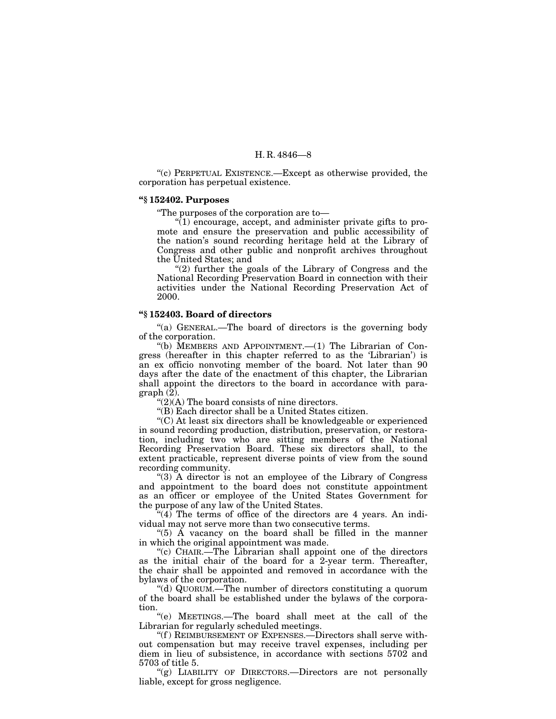''(c) PERPETUAL EXISTENCE.—Except as otherwise provided, the corporation has perpetual existence.

# **''§ 152402. Purposes**

''The purposes of the corporation are to—

 $\sqrt[n]{(1)}$  encourage, accept, and administer private gifts to promote and ensure the preservation and public accessibility of the nation's sound recording heritage held at the Library of Congress and other public and nonprofit archives throughout the United States; and

''(2) further the goals of the Library of Congress and the National Recording Preservation Board in connection with their activities under the National Recording Preservation Act of 2000.

# **''§ 152403. Board of directors**

''(a) GENERAL.—The board of directors is the governing body of the corporation.

"(b) MEMBERS AND APPOINTMENT.— $(1)$  The Librarian of Congress (hereafter in this chapter referred to as the 'Librarian') is an ex officio nonvoting member of the board. Not later than 90 days after the date of the enactment of this chapter, the Librarian shall appoint the directors to the board in accordance with paragraph  $(\overline{2})$ .

 $"(2)$ (A) The board consists of nine directors.

''(B) Each director shall be a United States citizen.

''(C) At least six directors shall be knowledgeable or experienced in sound recording production, distribution, preservation, or restoration, including two who are sitting members of the National Recording Preservation Board. These six directors shall, to the extent practicable, represent diverse points of view from the sound recording community.

"(3) A director is not an employee of the Library of Congress" and appointment to the board does not constitute appointment as an officer or employee of the United States Government for the purpose of any law of the United States.

" $(4)$  The terms of office of the directors are 4 years. An individual may not serve more than two consecutive terms.

" $(5)$   $\AA$  vacancy on the board shall be filled in the manner in which the original appointment was made.

''(c) CHAIR.—The Librarian shall appoint one of the directors as the initial chair of the board for a 2-year term. Thereafter, the chair shall be appointed and removed in accordance with the bylaws of the corporation.

''(d) QUORUM.—The number of directors constituting a quorum of the board shall be established under the bylaws of the corporation.

''(e) MEETINGS.—The board shall meet at the call of the Librarian for regularly scheduled meetings.

"(f) REIMBURSEMENT OF EXPENSES.—Directors shall serve without compensation but may receive travel expenses, including per diem in lieu of subsistence, in accordance with sections 5702 and 5703 of title 5.

"(g) LIABILITY OF DIRECTORS.—Directors are not personally liable, except for gross negligence.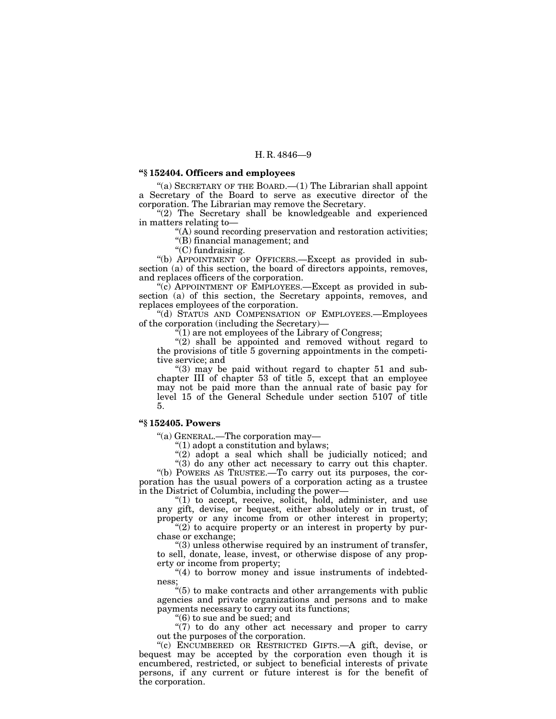#### **''§ 152404. Officers and employees**

"(a) SECRETARY OF THE BOARD.— $(1)$  The Librarian shall appoint a Secretary of the Board to serve as executive director of the corporation. The Librarian may remove the Secretary.

"(2) The Secretary shall be knowledgeable and experienced in matters relating to—

''(A) sound recording preservation and restoration activities;

''(B) financial management; and

"(C) fundraising.

"(b) APPOINTMENT OF OFFICERS.—Except as provided in subsection (a) of this section, the board of directors appoints, removes, and replaces officers of the corporation.

''(c) APPOINTMENT OF EMPLOYEES.—Except as provided in subsection (a) of this section, the Secretary appoints, removes, and replaces employees of the corporation.

''(d) STATUS AND COMPENSATION OF EMPLOYEES.—Employees of the corporation (including the Secretary)—

 $\sqrt[n]{(1)}$  are not employees of the Library of Congress;

 $''(2)$  shall be appointed and removed without regard to the provisions of title 5 governing appointments in the competitive service; and

'(3) may be paid without regard to chapter 51 and subchapter III of chapter 53 of title 5, except that an employee may not be paid more than the annual rate of basic pay for level 15 of the General Schedule under section 5107 of title 5.

### **''§ 152405. Powers**

''(a) GENERAL.—The corporation may—

''(1) adopt a constitution and bylaws;

"(2) adopt a seal which shall be judicially noticed; and ''(3) do any other act necessary to carry out this chapter.

''(b) POWERS AS TRUSTEE.—To carry out its purposes, the corporation has the usual powers of a corporation acting as a trustee in the District of Columbia, including the power—

"(1) to accept, receive, solicit, hold, administer, and use any gift, devise, or bequest, either absolutely or in trust, of property or any income from or other interest in property; " $(2)$  to acquire property or an interest in property by pur-

chase or exchange;

''(3) unless otherwise required by an instrument of transfer, to sell, donate, lease, invest, or otherwise dispose of any property or income from property;

 $\degree$ (4) to borrow money and issue instruments of indebtedness;

''(5) to make contracts and other arrangements with public agencies and private organizations and persons and to make payments necessary to carry out its functions;

 $(6)$  to sue and be sued; and

"(7) to do any other act necessary and proper to carry out the purposes of the corporation.

''(c) ENCUMBERED OR RESTRICTED GIFTS.—A gift, devise, or bequest may be accepted by the corporation even though it is encumbered, restricted, or subject to beneficial interests of private persons, if any current or future interest is for the benefit of the corporation.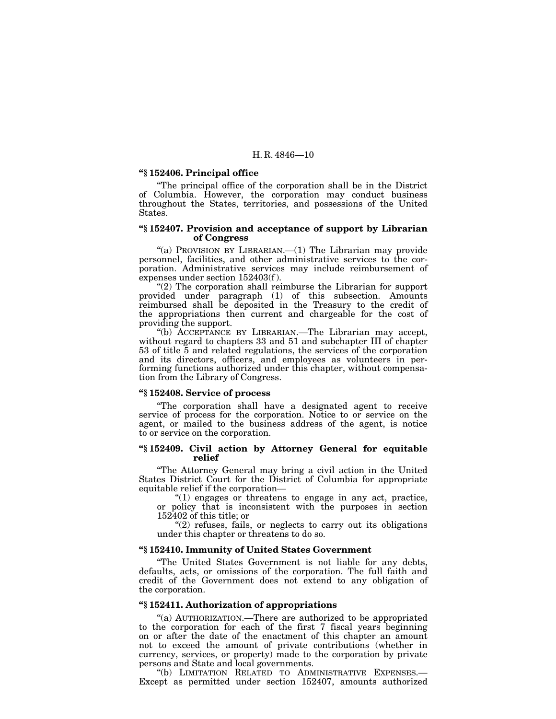#### **''§ 152406. Principal office**

''The principal office of the corporation shall be in the District of Columbia. However, the corporation may conduct business throughout the States, territories, and possessions of the United States.

#### **''§ 152407. Provision and acceptance of support by Librarian of Congress**

"(a) PROVISION BY LIBRARIAN.-(1) The Librarian may provide personnel, facilities, and other administrative services to the corporation. Administrative services may include reimbursement of expenses under section 152403(f ).

"(2) The corporation shall reimburse the Librarian for support provided under paragraph (1) of this subsection. Amounts reimbursed shall be deposited in the Treasury to the credit of the appropriations then current and chargeable for the cost of providing the support.

''(b) ACCEPTANCE BY LIBRARIAN.—The Librarian may accept, without regard to chapters 33 and 51 and subchapter III of chapter 53 of title 5 and related regulations, the services of the corporation and its directors, officers, and employees as volunteers in performing functions authorized under this chapter, without compensation from the Library of Congress.

# **''§ 152408. Service of process**

''The corporation shall have a designated agent to receive service of process for the corporation. Notice to or service on the agent, or mailed to the business address of the agent, is notice to or service on the corporation.

## **''§ 152409. Civil action by Attorney General for equitable relief**

''The Attorney General may bring a civil action in the United States District Court for the District of Columbia for appropriate equitable relief if the corporation—

" $(1)$  engages or threatens to engage in any act, practice, or policy that is inconsistent with the purposes in section 152402 of this title; or

 $(2)$  refuses, fails, or neglects to carry out its obligations under this chapter or threatens to do so.

# **''§ 152410. Immunity of United States Government**

''The United States Government is not liable for any debts, defaults, acts, or omissions of the corporation. The full faith and credit of the Government does not extend to any obligation of the corporation.

### **''§ 152411. Authorization of appropriations**

''(a) AUTHORIZATION.—There are authorized to be appropriated to the corporation for each of the first 7 fiscal years beginning on or after the date of the enactment of this chapter an amount not to exceed the amount of private contributions (whether in currency, services, or property) made to the corporation by private persons and State and local governments.

''(b) LIMITATION RELATED TO ADMINISTRATIVE EXPENSES.— Except as permitted under section 152407, amounts authorized